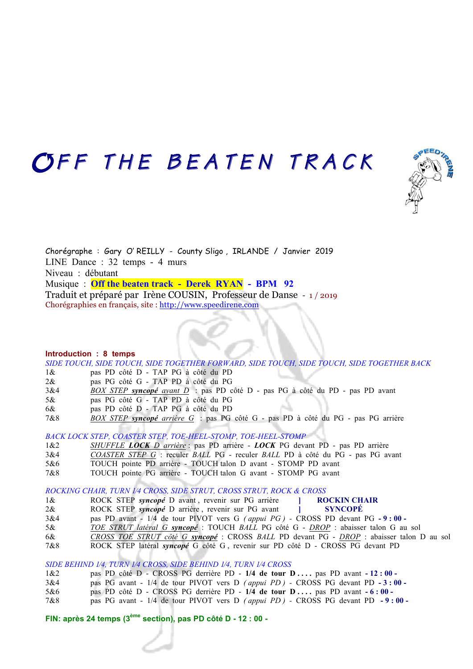## OFF THE BEATEN TRACK



Chorégraphe : Gary O' REILLY - County Sligo , IRLANDE / Janvier 2019 LINE Dance : 32 temps - 4 murs Niveau : débutant Musique : **Off the beaten track - Derek RYAN - BPM 92** Traduit et préparé par Irène COUSIN, Professeur de Danse - 1 / 2019 Chorégraphies en français, site : http://www.speedirene.com

#### **Introduction : 8 temps**

*SIDE TOUCH, SIDE TOUCH, SIDE TOGETHER FORWARD, SIDE TOUCH, SIDE TOUCH, SIDE TOGETHER BACK*

- 1& pas PD côté D TAP PG à côté du PD
- 2& pas PG côté G TAP PD à côté du PG
- 3&4 *BOX STEP syncopé avant D* : pas PD côté D pas PG à côté du PD pas PD avant
- 5& pas PG côté G TAP PD à côté du PG
- 6& pas PD côté D TAP PG à côté du PD
- 7&8 *BOX STEP syncopé arrière G* : pas PG côté G pas PD à côté du PG pas PG arrière

*BACK LOCK STEP, COASTER STEP, TOE-HEEL-STOMP, TOE-HEEL-STOMP*

- 1&2 *SHUFFLE LOCK D arrière* : pas PD arrière *LOCK* PG devant PD pas PD arrière
- 3&4 *COASTER STEP G* : reculer *BALL* PG reculer *BALL* PD à côté du PG pas PG avant
- 5&6 TOUCH pointe PD arrière TOUCH talon D avant STOMP PD avant
- 7&8 TOUCH pointe PG arrière TOUCH talon G avant STOMP PG avant

*ROCKING CHAIR, TURN 1⁄4 CROSS, SIDE STRUT, CROSS STRUT, ROCK & CROSS*

- 1& ROCK STEP *syncopé* D avant , revenir sur PG arrière **] ROCKIN CHAIR** 2& ROCK STEP *syncopé* D arrière , revenir sur PG avant **] SYNCOPÉ** 3&4 pas PD avant - 1/4 de tour PIVOT vers G *( appui PG ) -* CROSS PD devant PG**- 9 : 00 -**
- 5& *TOE STRUT latéral G syncopé* : TOUCH *BALL* PG côté G *DROP* : abaisser talon G au sol
- 6& *CROSS TOE STRUT côté G syncopé* : CROSS *BALL* PD devant PG *DROP* : abaisser talon D au sol
- 7&8 ROCK STEP latéral *syncopé* G côté G , revenir sur PD côté D CROSS PG devant PD

### *SIDE BEHIND 1⁄4, TURN 1⁄4 CROSS, SIDE BEHIND 1⁄4, TURN 1⁄4 CROSS*

- 1&2 pas PD côté D CROSS PG derrière PD **1/4 de tour D . . . .** pas PD avant **- 12 : 00**
- 3&4 pas PG avant 1/4 de tour PIVOT vers D *( appui PD )* CROSS PG devant PD**- 3 : 00**
- 5&6 pas PD côté D CROSS PG derrière PD **1/4 de tour D . . . .** pas PD avant **- 6 : 00**
- 7&8 pas PG avant 1/4 de tour PIVOT vers D *( appui PD )* CROSS PG devant PD**- 9 : 00**

## **FIN: après 24 temps (3ème section), pas PD côté D - 12 : 00 -**